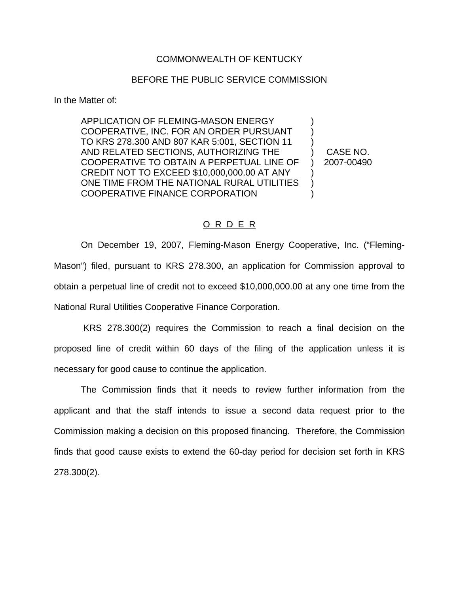## COMMONWEALTH OF KENTUCKY

## BEFORE THE PUBLIC SERVICE COMMISSION

In the Matter of:

APPLICATION OF FLEMING-MASON ENERGY COOPERATIVE, INC. FOR AN ORDER PURSUANT TO KRS 278.300 AND 807 KAR 5:001, SECTION 11 AND RELATED SECTIONS, AUTHORIZING THE COOPERATIVE TO OBTAIN A PERPETUAL LINE OF CREDIT NOT TO EXCEED \$10,000,000.00 AT ANY ONE TIME FROM THE NATIONAL RURAL UTILITIES COOPERATIVE FINANCE CORPORATION ) ) ) ) ) )

) CASE NO. ) 2007-00490

## O R D E R

On December 19, 2007, Fleming-Mason Energy Cooperative, Inc. ("Fleming-Mason") filed, pursuant to KRS 278.300, an application for Commission approval to obtain a perpetual line of credit not to exceed \$10,000,000.00 at any one time from the National Rural Utilities Cooperative Finance Corporation.

KRS 278.300(2) requires the Commission to reach a final decision on the proposed line of credit within 60 days of the filing of the application unless it is necessary for good cause to continue the application.

The Commission finds that it needs to review further information from the applicant and that the staff intends to issue a second data request prior to the Commission making a decision on this proposed financing. Therefore, the Commission finds that good cause exists to extend the 60-day period for decision set forth in KRS 278.300(2).